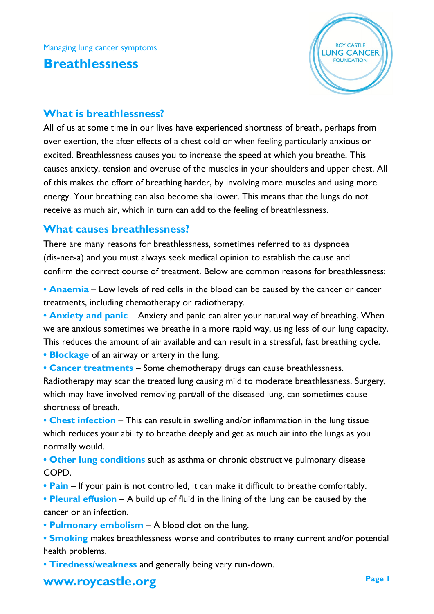# **ROY CASTLE LUNG CANCER OLINDATION**

#### **What is breathlessness?**

All of us at some time in our lives have experienced shortness of breath, perhaps from over exertion, the after effects of a chest cold or when feeling particularly anxious or excited. Breathlessness causes you to increase the speed at which you breathe. This causes anxiety, tension and overuse of the muscles in your shoulders and upper chest. All of this makes the effort of breathing harder, by involving more muscles and using more energy. Your breathing can also become shallower. This means that the lungs do not receive as much air, which in turn can add to the feeling of breathlessness.

#### **What causes breathlessness?**

There are many reasons for breathlessness, sometimes referred to as dyspnoea (dis-nee-a) and you must always seek medical opinion to establish the cause and confirm the correct course of treatment. Below are common reasons for breathlessness:

**• Anaemia** – Low levels of red cells in the blood can be caused by the cancer or cancer treatments, including chemotherapy or radiotherapy.

• **Anxiety and panic** – Anxiety and panic can alter your natural way of breathing. When we are anxious sometimes we breathe in a more rapid way, using less of our lung capacity. This reduces the amount of air available and can result in a stressful, fast breathing cycle.

- **Blockage** of an airway or artery in the lung.
- **Cancer treatments**  Some chemotherapy drugs can cause breathlessness.

Radiotherapy may scar the treated lung causing mild to moderate breathlessness. Surgery, which may have involved removing part/all of the diseased lung, can sometimes cause shortness of breath.

• **Chest infection** – This can result in swelling and/or inflammation in the lung tissue which reduces your ability to breathe deeply and get as much air into the lungs as you normally would.

**• Other lung conditions** such as asthma or chronic obstructive pulmonary disease COPD.

**• Pain** – If your pain is not controlled, it can make it difficult to breathe comfortably.

**• Pleural effusion** – A build up of fluid in the lining of the lung can be caused by the cancer or an infection.

- **Pulmonary embolism**  A blood clot on the lung.
- **Smoking** makes breathlessness worse and contributes to many current and/or potential health problems.
- **Tiredness/weakness** and generally being very run-down.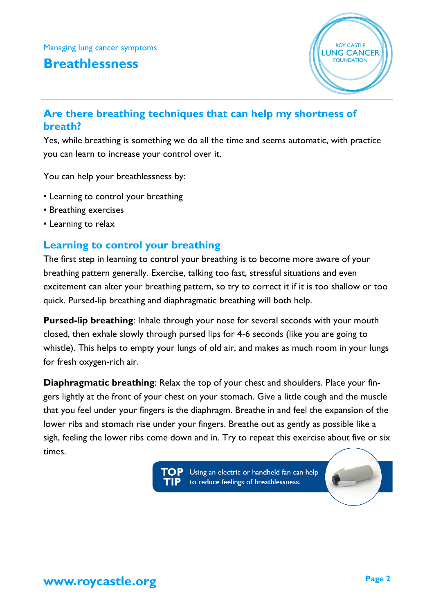# **Breathlessness**



## **Are there breathing techniques that can help my shortness of breath?**

Yes, while breathing is something we do all the time and seems automatic, with practice you can learn to increase your control over it.

You can help your breathlessness by:

- Learning to control your breathing
- Breathing exercises
- Learning to relax

#### **Learning to control your breathing**

The first step in learning to control your breathing is to become more aware of your breathing pattern generally. Exercise, talking too fast, stressful situations and even excitement can alter your breathing pattern, so try to correct it if it is too shallow or too quick. Pursed-lip breathing and diaphragmatic breathing will both help.

**Pursed-lip breathing**: Inhale through your nose for several seconds with your mouth closed, then exhale slowly through pursed lips for 4-6 seconds (like you are going to whistle). This helps to empty your lungs of old air, and makes as much room in your lungs for fresh oxygen-rich air.

**Diaphragmatic breathing**: Relax the top of your chest and shoulders. Place your fingers lightly at the front of your chest on your stomach. Give a little cough and the muscle that you feel under your fingers is the diaphragm. Breathe in and feel the expansion of the lower ribs and stomach rise under your fingers. Breathe out as gently as possible like a sigh, feeling the lower ribs come down and in. Try to repeat this exercise about five or six times.

> $\overline{\mathsf{TOP}}$  Using an electric or handheld fan can help to reduce feelings of breathlessness.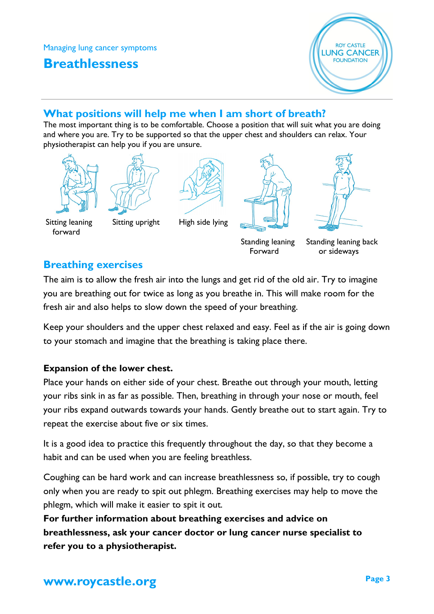# **Breathlessness**



#### **What positions will help me when I am short of breath?**

The most important thing is to be comfortable. Choose a position that will suit what you are doing and where you are. Try to be supported so that the upper chest and shoulders can relax. Your physiotherapist can help you if you are unsure.



forward









 Standing leaning Standing leaning back Forward or sideways

#### **Breathing exercises**

The aim is to allow the fresh air into the lungs and get rid of the old air. Try to imagine you are breathing out for twice as long as you breathe in. This will make room for the fresh air and also helps to slow down the speed of your breathing.

Keep your shoulders and the upper chest relaxed and easy. Feel as if the air is going down to your stomach and imagine that the breathing is taking place there.

#### **Expansion of the lower chest.**

Place your hands on either side of your chest. Breathe out through your mouth, letting your ribs sink in as far as possible. Then, breathing in through your nose or mouth, feel your ribs expand outwards towards your hands. Gently breathe out to start again. Try to repeat the exercise about five or six times.

It is a good idea to practice this frequently throughout the day, so that they become a habit and can be used when you are feeling breathless.

Coughing can be hard work and can increase breathlessness so, if possible, try to cough only when you are ready to spit out phlegm. Breathing exercises may help to move the phlegm, which will make it easier to spit it out.

**For further information about breathing exercises and advice on breathlessness, ask your cancer doctor or lung cancer nurse specialist to refer you to a physiotherapist.**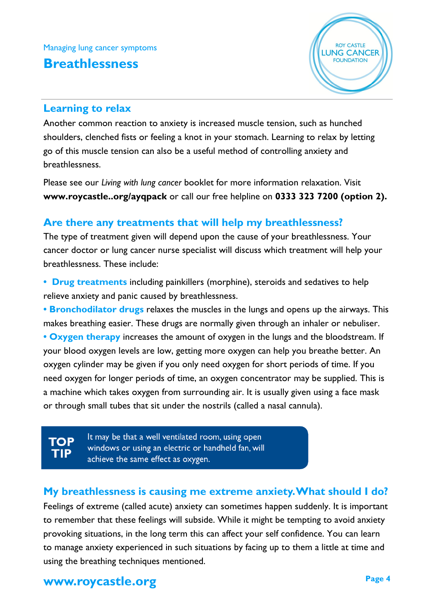

#### **Learning to relax**

Another common reaction to anxiety is increased muscle tension, such as hunched shoulders, clenched fists or feeling a knot in your stomach. Learning to relax by letting go of this muscle tension can also be a useful method of controlling anxiety and breathlessness.

Please see our *Living with lung cancer* booklet for more information relaxation. Visit **www.roycastle..org/ayqpack** or call our free helpline on **0333 323 7200 (option 2).**

#### **Are there any treatments that will help my breathlessness?**

The type of treatment given will depend upon the cause of your breathlessness. Your cancer doctor or lung cancer nurse specialist will discuss which treatment will help your breathlessness. These include:

**• Drug treatments** including painkillers (morphine), steroids and sedatives to help relieve anxiety and panic caused by breathlessness.

**• Bronchodilator drugs** relaxes the muscles in the lungs and opens up the airways. This makes breathing easier. These drugs are normally given through an inhaler or nebuliser.

• Oxygen therapy increases the amount of oxygen in the lungs and the bloodstream. If your blood oxygen levels are low, getting more oxygen can help you breathe better. An oxygen cylinder may be given if you only need oxygen for short periods of time. If you need oxygen for longer periods of time, an oxygen concentrator may be supplied. This is a machine which takes oxygen from surrounding air. It is usually given using a face mask or through small tubes that sit under the nostrils (called a nasal cannula).

# **TOP TIP**

It may be that a well ventilated room, using open windows or using an electric or handheld fan, will achieve the same effect as oxygen.

#### **My breathlessness is causing me extreme anxiety. What should I do?**

Feelings of extreme (called acute) anxiety can sometimes happen suddenly. It is important to remember that these feelings will subside. While it might be tempting to avoid anxiety provoking situations, in the long term this can affect your self confidence. You can learn to manage anxiety experienced in such situations by facing up to them a little at time and using the breathing techniques mentioned.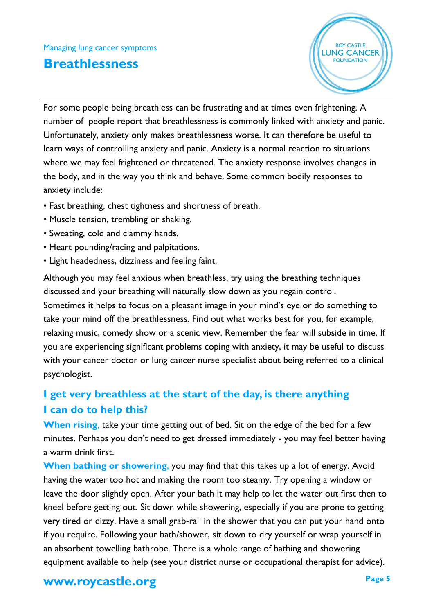

For some people being breathless can be frustrating and at times even frightening. A number of people report that breathlessness is commonly linked with anxiety and panic. Unfortunately, anxiety only makes breathlessness worse. It can therefore be useful to learn ways of controlling anxiety and panic. Anxiety is a normal reaction to situations where we may feel frightened or threatened. The anxiety response involves changes in the body, and in the way you think and behave. Some common bodily responses to anxiety include:

- Fast breathing, chest tightness and shortness of breath.
- Muscle tension, trembling or shaking.
- Sweating, cold and clammy hands.
- Heart pounding/racing and palpitations.
- Light headedness, dizziness and feeling faint.

Although you may feel anxious when breathless, try using the breathing techniques discussed and your breathing will naturally slow down as you regain control. Sometimes it helps to focus on a pleasant image in your mind's eye or do something to take your mind off the breathlessness. Find out what works best for you, for example, relaxing music, comedy show or a scenic view. Remember the fear will subside in time. If you are experiencing significant problems coping with anxiety, it may be useful to discuss with your cancer doctor or lung cancer nurse specialist about being referred to a clinical psychologist.

# **I get very breathless at the start of the day, is there anything I can do to help this?**

**When rising**, take your time getting out of bed. Sit on the edge of the bed for a few minutes. Perhaps you don't need to get dressed immediately - you may feel better having a warm drink first.

**When bathing or showering**, you may find that this takes up a lot of energy. Avoid having the water too hot and making the room too steamy. Try opening a window or leave the door slightly open. After your bath it may help to let the water out first then to kneel before getting out. Sit down while showering, especially if you are prone to getting very tired or dizzy. Have a small grab-rail in the shower that you can put your hand onto if you require. Following your bath/shower, sit down to dry yourself or wrap yourself in an absorbent towelling bathrobe. There is a whole range of bathing and showering equipment available to help (see your district nurse or occupational therapist for advice).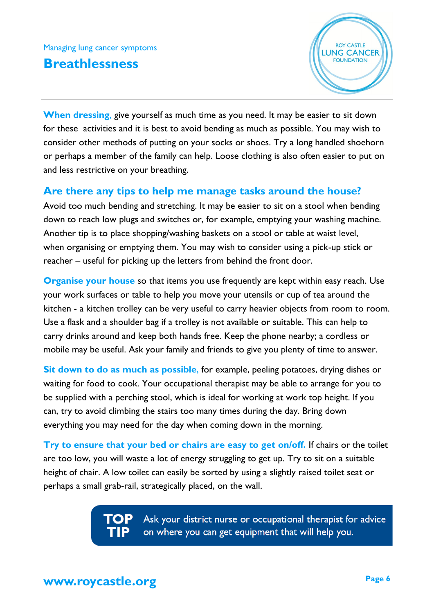

**When dressing**, give yourself as much time as you need. It may be easier to sit down for these activities and it is best to avoid bending as much as possible. You may wish to consider other methods of putting on your socks or shoes. Try a long handled shoehorn or perhaps a member of the family can help. Loose clothing is also often easier to put on and less restrictive on your breathing.

#### **Are there any tips to help me manage tasks around the house?**

Avoid too much bending and stretching. It may be easier to sit on a stool when bending down to reach low plugs and switches or, for example, emptying your washing machine. Another tip is to place shopping/washing baskets on a stool or table at waist level, when organising or emptying them. You may wish to consider using a pick-up stick or reacher – useful for picking up the letters from behind the front door.

**Organise your house** so that items you use frequently are kept within easy reach. Use your work surfaces or table to help you move your utensils or cup of tea around the kitchen - a kitchen trolley can be very useful to carry heavier objects from room to room. Use a flask and a shoulder bag if a trolley is not available or suitable. This can help to carry drinks around and keep both hands free. Keep the phone nearby; a cordless or mobile may be useful. Ask your family and friends to give you plenty of time to answer.

**Sit down to do as much as possible**, for example, peeling potatoes, drying dishes or waiting for food to cook. Your occupational therapist may be able to arrange for you to be supplied with a perching stool, which is ideal for working at work top height. If you can, try to avoid climbing the stairs too many times during the day. Bring down everything you may need for the day when coming down in the morning.

**Try to ensure that your bed or chairs are easy to get on/off.** If chairs or the toilet are too low, you will waste a lot of energy struggling to get up. Try to sit on a suitable height of chair. A low toilet can easily be sorted by using a slightly raised toilet seat or perhaps a small grab-rail, strategically placed, on the wall.

> Ask your district nurse or occupational therapist for advice on where you can get equipment that will help you.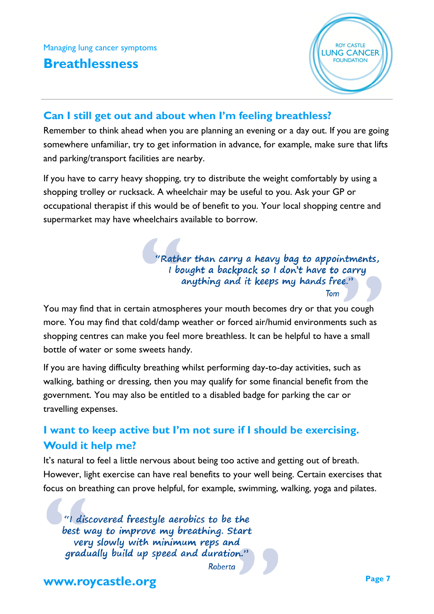

#### **Can I still get out and about when I'm feeling breathless?**

Remember to think ahead when you are planning an evening or a day out. If you are going somewhere unfamiliar, try to get information in advance, for example, make sure that lifts and parking/transport facilities are nearby.

If you have to carry heavy shopping, try to distribute the weight comfortably by using a shopping trolley or rucksack. A wheelchair may be useful to you. Ask your GP or occupational therapist if this would be of benefit to you. Your local shopping centre and supermarket may have wheelchairs available to borrow.

> "Rather than carry a heavy bag to appointments, I bought a backpack so I don't have to carry anything and it keeps my hands free." Tom

You may find that in certain atmospheres your mouth becomes dry or that you cough more. You may find that cold/damp weather or forced air/humid environments such as shopping centres can make you feel more breathless. It can be helpful to have a small bottle of water or some sweets handy.

If you are having difficulty breathing whilst performing day-to-day activities, such as walking, bathing or dressing, then you may qualify for some financial benefit from the government. You may also be entitled to a disabled badge for parking the car or travelling expenses.

# **I want to keep active but I'm not sure if I should be exercising. Would it help me?**

It's natural to feel a little nervous about being too active and getting out of breath. However, light exercise can have real benefits to your well being. Certain exercises that focus on breathing can prove helpful, for example, swimming, walking, yoga and pilates.

"I discovered freestyle aerobics to be the best way to improve my breathing. Start very slowly with minimum reps and gradually build up speed and duration."

**Roberta**